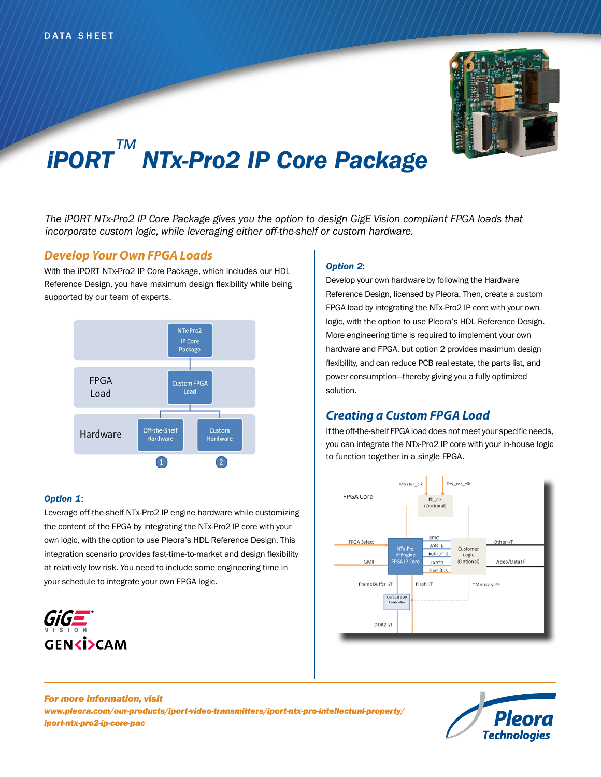

# *iPORT™ NTx-Pro2 IP Core Package*

*The iPORT NTx-Pro2 IP Core Package gives you the option to design GigE Vision compliant FPGA loads that incorporate custom logic, while leveraging either off-the-shelf or custom hardware.*

# *Develop Your Own FPGA Loads*

With the iPORT NTx-Pro2 IP Core Package, which includes our HDL Reference Design, you have maximum design flexibility while being supported by our team of experts.



#### *Option 1*:

Leverage off-the-shelf NTx-Pro2 IP engine hardware while customizing the content of the FPGA by integrating the NTx-Pro2 IP core with your own logic, with the option to use Pleora's HDL Reference Design. This integration scenario provides fast-time-to-market and design flexibility at relatively low risk. You need to include some engineering time in your schedule to integrate your own FPGA logic.



#### *Option 2*:

Develop your own hardware by following the Hardware Reference Design, licensed by Pleora. Then, create a custom FPGA load by integrating the NTx-Pro2 IP core with your own logic, with the option to use Pleora's HDL Reference Design. More engineering time is required to implement your own hardware and FPGA, but option 2 provides maximum design flexibility, and can reduce PCB real estate, the parts list, and power consumption—thereby giving you a fully optimized solution.

# *Creating a Custom FPGA Load*

If the off-the-shelf FPGA load does not meet your specific needs, you can integrate the NTx-Pro2 IP core with your in-house logic to function together in a single FPGA.



*For more information, visit www.pleora.com/our-products/iport-video-transmitters/iport-ntx-pro-intellectual-property/ iport-ntx-pro2-ip-core-pac*